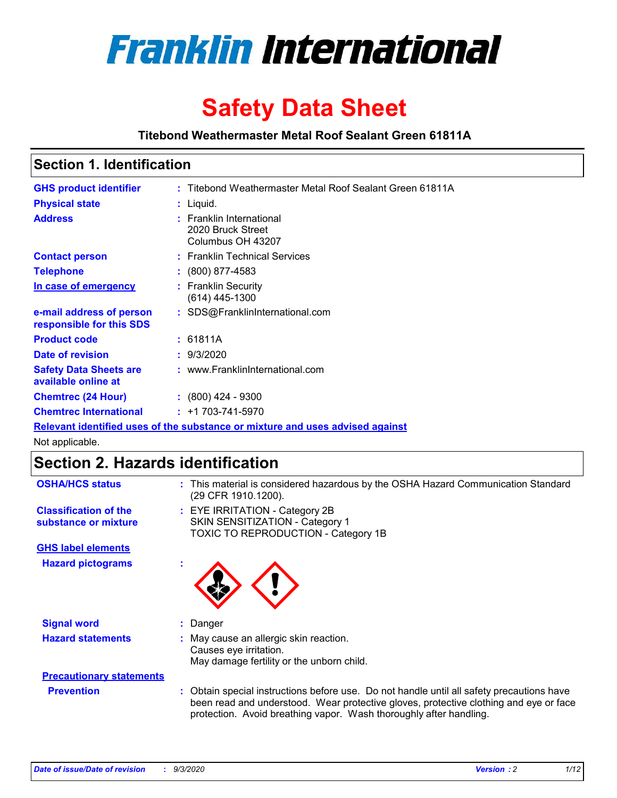

# **Safety Data Sheet**

**Titebond Weathermaster Metal Roof Sealant Green 61811A**

## **Section 1. Identification**

| <b>GHS product identifier</b>                                                 |  | : Titebond Weathermaster Metal Roof Sealant Green 61811A           |  |
|-------------------------------------------------------------------------------|--|--------------------------------------------------------------------|--|
| <b>Physical state</b>                                                         |  | $:$ Liquid.                                                        |  |
| <b>Address</b>                                                                |  | : Franklin International<br>2020 Bruck Street<br>Columbus OH 43207 |  |
| <b>Contact person</b>                                                         |  | : Franklin Technical Services                                      |  |
| <b>Telephone</b>                                                              |  | $\div$ (800) 877-4583                                              |  |
| In case of emergency                                                          |  | : Franklin Security<br>(614) 445-1300                              |  |
| e-mail address of person<br>responsible for this SDS                          |  | : SDS@FranklinInternational.com                                    |  |
| <b>Product code</b>                                                           |  | : 61811A                                                           |  |
| Date of revision                                                              |  | : 9/3/2020                                                         |  |
| <b>Safety Data Sheets are</b><br>available online at                          |  | : www.FranklinInternational.com                                    |  |
| <b>Chemtrec (24 Hour)</b>                                                     |  | $\div$ (800) 424 - 9300                                            |  |
| <b>Chemtrec International</b>                                                 |  | $: +1703 - 741 - 5970$                                             |  |
| Relevant identified uses of the substance or mixture and uses advised against |  |                                                                    |  |

Not applicable.

# **Section 2. Hazards identification**

| <b>OSHA/HCS status</b>                               |    | : This material is considered hazardous by the OSHA Hazard Communication Standard<br>(29 CFR 1910.1200).                                                                                                                                                 |
|------------------------------------------------------|----|----------------------------------------------------------------------------------------------------------------------------------------------------------------------------------------------------------------------------------------------------------|
| <b>Classification of the</b><br>substance or mixture |    | : EYE IRRITATION - Category 2B<br>SKIN SENSITIZATION - Category 1<br>TOXIC TO REPRODUCTION - Category 1B                                                                                                                                                 |
| <b>GHS label elements</b>                            |    |                                                                                                                                                                                                                                                          |
| <b>Hazard pictograms</b>                             | ×. |                                                                                                                                                                                                                                                          |
| <b>Signal word</b>                                   | ÷. | Danger                                                                                                                                                                                                                                                   |
| <b>Hazard statements</b>                             |    | May cause an allergic skin reaction.<br>Causes eye irritation.<br>May damage fertility or the unborn child.                                                                                                                                              |
| <b>Precautionary statements</b>                      |    |                                                                                                                                                                                                                                                          |
| <b>Prevention</b>                                    |    | : Obtain special instructions before use. Do not handle until all safety precautions have<br>been read and understood. Wear protective gloves, protective clothing and eye or face<br>protection. Avoid breathing vapor. Wash thoroughly after handling. |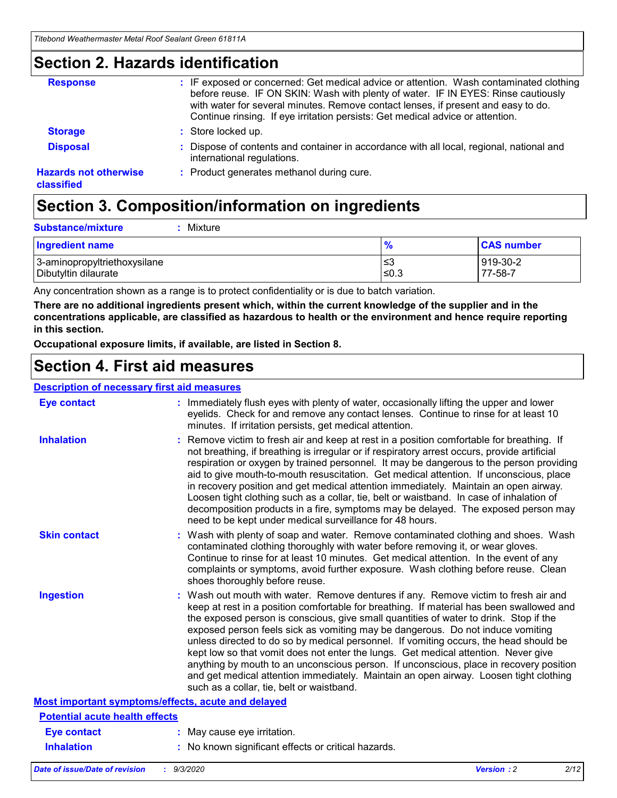## **Section 2. Hazards identification**

| <b>Response</b>                            | : IF exposed or concerned: Get medical advice or attention. Wash contaminated clothing<br>before reuse. IF ON SKIN: Wash with plenty of water. IF IN EYES: Rinse cautiously<br>with water for several minutes. Remove contact lenses, if present and easy to do.<br>Continue rinsing. If eye irritation persists: Get medical advice or attention. |
|--------------------------------------------|----------------------------------------------------------------------------------------------------------------------------------------------------------------------------------------------------------------------------------------------------------------------------------------------------------------------------------------------------|
| <b>Storage</b>                             | : Store locked up.                                                                                                                                                                                                                                                                                                                                 |
| <b>Disposal</b>                            | : Dispose of contents and container in accordance with all local, regional, national and<br>international regulations.                                                                                                                                                                                                                             |
| <b>Hazards not otherwise</b><br>classified | : Product generates methanol during cure.                                                                                                                                                                                                                                                                                                          |

# **Section 3. Composition/information on ingredients**

| <b>Substance/mixture</b> |  | : Mixture |
|--------------------------|--|-----------|
|--------------------------|--|-----------|

| <b>Ingredient name</b>       | $\frac{9}{6}$ | <b>CAS number</b> |
|------------------------------|---------------|-------------------|
| 3-aminopropyltriethoxysilane | ≤3            | 919-30-2          |
| Dibutyltin dilaurate         | ∣≤0.3         | 77-58-7           |

Any concentration shown as a range is to protect confidentiality or is due to batch variation.

**There are no additional ingredients present which, within the current knowledge of the supplier and in the concentrations applicable, are classified as hazardous to health or the environment and hence require reporting in this section.**

**Occupational exposure limits, if available, are listed in Section 8.**

# **Section 4. First aid measures**

| <b>Description of necessary first aid measures</b> |                                                                                                                                                                                                                                                                                                                                                                                                                                                                                                                                                                                                                                                                                                                                                                           |
|----------------------------------------------------|---------------------------------------------------------------------------------------------------------------------------------------------------------------------------------------------------------------------------------------------------------------------------------------------------------------------------------------------------------------------------------------------------------------------------------------------------------------------------------------------------------------------------------------------------------------------------------------------------------------------------------------------------------------------------------------------------------------------------------------------------------------------------|
| <b>Eye contact</b>                                 | : Immediately flush eyes with plenty of water, occasionally lifting the upper and lower<br>eyelids. Check for and remove any contact lenses. Continue to rinse for at least 10<br>minutes. If irritation persists, get medical attention.                                                                                                                                                                                                                                                                                                                                                                                                                                                                                                                                 |
| <b>Inhalation</b>                                  | : Remove victim to fresh air and keep at rest in a position comfortable for breathing. If<br>not breathing, if breathing is irregular or if respiratory arrest occurs, provide artificial<br>respiration or oxygen by trained personnel. It may be dangerous to the person providing<br>aid to give mouth-to-mouth resuscitation. Get medical attention. If unconscious, place<br>in recovery position and get medical attention immediately. Maintain an open airway.<br>Loosen tight clothing such as a collar, tie, belt or waistband. In case of inhalation of<br>decomposition products in a fire, symptoms may be delayed. The exposed person may<br>need to be kept under medical surveillance for 48 hours.                                                       |
| <b>Skin contact</b>                                | : Wash with plenty of soap and water. Remove contaminated clothing and shoes. Wash<br>contaminated clothing thoroughly with water before removing it, or wear gloves.<br>Continue to rinse for at least 10 minutes. Get medical attention. In the event of any<br>complaints or symptoms, avoid further exposure. Wash clothing before reuse. Clean<br>shoes thoroughly before reuse.                                                                                                                                                                                                                                                                                                                                                                                     |
| <b>Ingestion</b>                                   | : Wash out mouth with water. Remove dentures if any. Remove victim to fresh air and<br>keep at rest in a position comfortable for breathing. If material has been swallowed and<br>the exposed person is conscious, give small quantities of water to drink. Stop if the<br>exposed person feels sick as vomiting may be dangerous. Do not induce vomiting<br>unless directed to do so by medical personnel. If vomiting occurs, the head should be<br>kept low so that vomit does not enter the lungs. Get medical attention. Never give<br>anything by mouth to an unconscious person. If unconscious, place in recovery position<br>and get medical attention immediately. Maintain an open airway. Loosen tight clothing<br>such as a collar, tie, belt or waistband. |
| Most important symptoms/effects, acute and delayed |                                                                                                                                                                                                                                                                                                                                                                                                                                                                                                                                                                                                                                                                                                                                                                           |
| <b>Potential acute health effects</b>              |                                                                                                                                                                                                                                                                                                                                                                                                                                                                                                                                                                                                                                                                                                                                                                           |
| Eye contact                                        | : May cause eye irritation.                                                                                                                                                                                                                                                                                                                                                                                                                                                                                                                                                                                                                                                                                                                                               |
| <b>Inhalation</b>                                  | : No known significant effects or critical hazards.                                                                                                                                                                                                                                                                                                                                                                                                                                                                                                                                                                                                                                                                                                                       |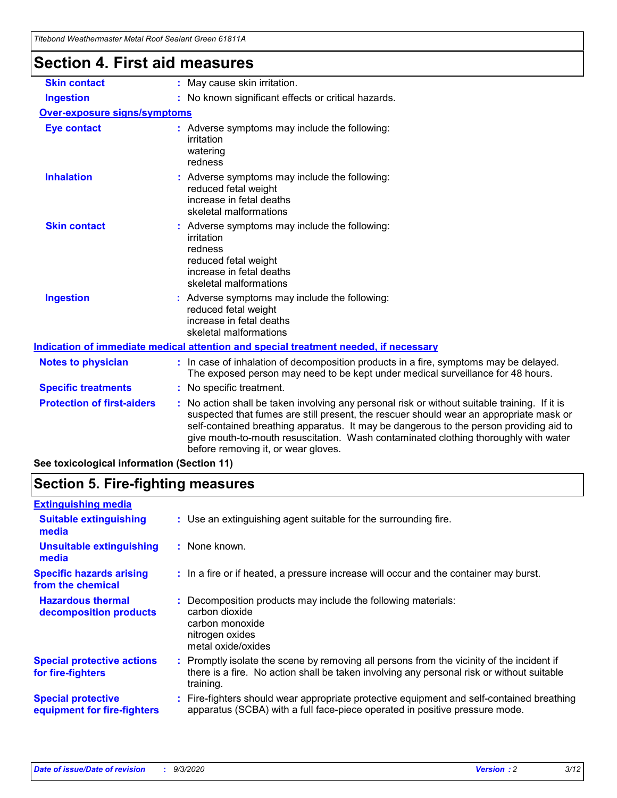|                                      | niebona wealnemiasier welar Roor Sealahi Green 61611A                                                                                                                                                                                                                                                                                                                                                         |
|--------------------------------------|---------------------------------------------------------------------------------------------------------------------------------------------------------------------------------------------------------------------------------------------------------------------------------------------------------------------------------------------------------------------------------------------------------------|
| <b>Section 4. First aid measures</b> |                                                                                                                                                                                                                                                                                                                                                                                                               |
| <b>Skin contact</b>                  | : May cause skin irritation.                                                                                                                                                                                                                                                                                                                                                                                  |
| <b>Ingestion</b>                     | : No known significant effects or critical hazards.                                                                                                                                                                                                                                                                                                                                                           |
| <b>Over-exposure signs/symptoms</b>  |                                                                                                                                                                                                                                                                                                                                                                                                               |
| <b>Eye contact</b>                   | : Adverse symptoms may include the following:<br>irritation<br>watering<br>redness                                                                                                                                                                                                                                                                                                                            |
| <b>Inhalation</b>                    | : Adverse symptoms may include the following:<br>reduced fetal weight<br>increase in fetal deaths<br>skeletal malformations                                                                                                                                                                                                                                                                                   |
| <b>Skin contact</b>                  | : Adverse symptoms may include the following:<br>irritation<br>redness<br>reduced fetal weight<br>increase in fetal deaths<br>skeletal malformations                                                                                                                                                                                                                                                          |
| <b>Ingestion</b>                     | : Adverse symptoms may include the following:<br>reduced fetal weight<br>increase in fetal deaths<br>skeletal malformations                                                                                                                                                                                                                                                                                   |
|                                      | Indication of immediate medical attention and special treatment needed, if necessary                                                                                                                                                                                                                                                                                                                          |
| <b>Notes to physician</b>            | : In case of inhalation of decomposition products in a fire, symptoms may be delayed.<br>The exposed person may need to be kept under medical surveillance for 48 hours.                                                                                                                                                                                                                                      |
| <b>Specific treatments</b>           | : No specific treatment.                                                                                                                                                                                                                                                                                                                                                                                      |
| <b>Protection of first-aiders</b>    | No action shall be taken involving any personal risk or without suitable training. If it is<br>suspected that fumes are still present, the rescuer should wear an appropriate mask or<br>self-contained breathing apparatus. It may be dangerous to the person providing aid to<br>give mouth-to-mouth resuscitation. Wash contaminated clothing thoroughly with water<br>before removing it, or wear gloves. |

**See toxicological information (Section 11)**

# **Section 5. Fire-fighting measures**

| <b>Extinguishing media</b>                               |                                                                                                                                                                                                     |
|----------------------------------------------------------|-----------------------------------------------------------------------------------------------------------------------------------------------------------------------------------------------------|
| <b>Suitable extinguishing</b><br>media                   | : Use an extinguishing agent suitable for the surrounding fire.                                                                                                                                     |
| <b>Unsuitable extinguishing</b><br>media                 | : None known.                                                                                                                                                                                       |
| <b>Specific hazards arising</b><br>from the chemical     | : In a fire or if heated, a pressure increase will occur and the container may burst.                                                                                                               |
| <b>Hazardous thermal</b><br>decomposition products       | Decomposition products may include the following materials:<br>carbon dioxide<br>carbon monoxide<br>nitrogen oxides<br>metal oxide/oxides                                                           |
| <b>Special protective actions</b><br>for fire-fighters   | : Promptly isolate the scene by removing all persons from the vicinity of the incident if<br>there is a fire. No action shall be taken involving any personal risk or without suitable<br>training. |
| <b>Special protective</b><br>equipment for fire-fighters | Fire-fighters should wear appropriate protective equipment and self-contained breathing<br>apparatus (SCBA) with a full face-piece operated in positive pressure mode.                              |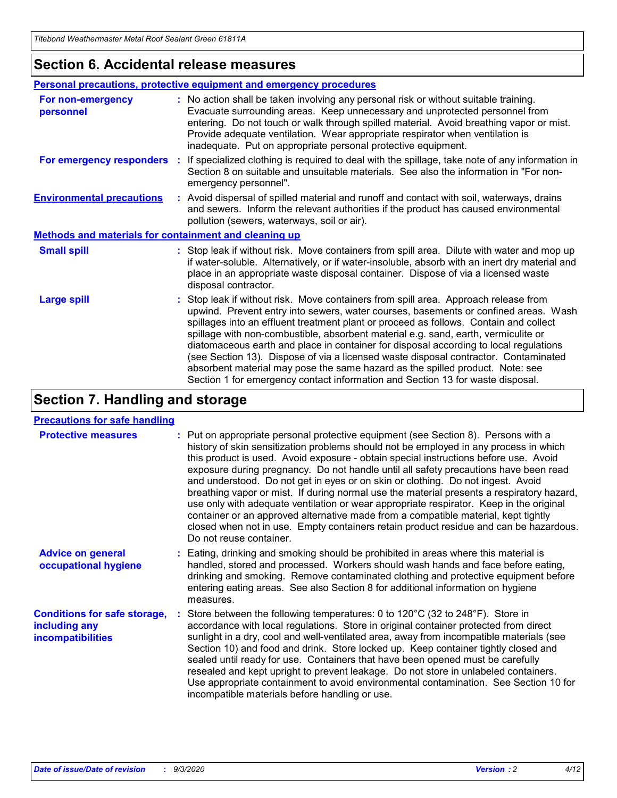## **Section 6. Accidental release measures**

|                                                              | Personal precautions, protective equipment and emergency procedures                                                                                                                                                                                                                                                                                                                                                                                                                                                                                                                                                                                                                                          |  |  |  |
|--------------------------------------------------------------|--------------------------------------------------------------------------------------------------------------------------------------------------------------------------------------------------------------------------------------------------------------------------------------------------------------------------------------------------------------------------------------------------------------------------------------------------------------------------------------------------------------------------------------------------------------------------------------------------------------------------------------------------------------------------------------------------------------|--|--|--|
| For non-emergency<br>personnel                               | : No action shall be taken involving any personal risk or without suitable training.<br>Evacuate surrounding areas. Keep unnecessary and unprotected personnel from<br>entering. Do not touch or walk through spilled material. Avoid breathing vapor or mist.<br>Provide adequate ventilation. Wear appropriate respirator when ventilation is<br>inadequate. Put on appropriate personal protective equipment.                                                                                                                                                                                                                                                                                             |  |  |  |
| For emergency responders                                     | : If specialized clothing is required to deal with the spillage, take note of any information in<br>Section 8 on suitable and unsuitable materials. See also the information in "For non-<br>emergency personnel".                                                                                                                                                                                                                                                                                                                                                                                                                                                                                           |  |  |  |
| <b>Environmental precautions</b>                             | : Avoid dispersal of spilled material and runoff and contact with soil, waterways, drains<br>and sewers. Inform the relevant authorities if the product has caused environmental<br>pollution (sewers, waterways, soil or air).                                                                                                                                                                                                                                                                                                                                                                                                                                                                              |  |  |  |
| <b>Methods and materials for containment and cleaning up</b> |                                                                                                                                                                                                                                                                                                                                                                                                                                                                                                                                                                                                                                                                                                              |  |  |  |
| <b>Small spill</b>                                           | : Stop leak if without risk. Move containers from spill area. Dilute with water and mop up<br>if water-soluble. Alternatively, or if water-insoluble, absorb with an inert dry material and<br>place in an appropriate waste disposal container. Dispose of via a licensed waste<br>disposal contractor.                                                                                                                                                                                                                                                                                                                                                                                                     |  |  |  |
| <b>Large spill</b>                                           | : Stop leak if without risk. Move containers from spill area. Approach release from<br>upwind. Prevent entry into sewers, water courses, basements or confined areas. Wash<br>spillages into an effluent treatment plant or proceed as follows. Contain and collect<br>spillage with non-combustible, absorbent material e.g. sand, earth, vermiculite or<br>diatomaceous earth and place in container for disposal according to local regulations<br>(see Section 13). Dispose of via a licensed waste disposal contractor. Contaminated<br>absorbent material may pose the same hazard as the spilled product. Note: see<br>Section 1 for emergency contact information and Section 13 for waste disposal. |  |  |  |

# **Section 7. Handling and storage**

### **Precautions for safe handling**

| <b>Protective measures</b>                                                       | : Put on appropriate personal protective equipment (see Section 8). Persons with a<br>history of skin sensitization problems should not be employed in any process in which<br>this product is used. Avoid exposure - obtain special instructions before use. Avoid<br>exposure during pregnancy. Do not handle until all safety precautions have been read<br>and understood. Do not get in eyes or on skin or clothing. Do not ingest. Avoid<br>breathing vapor or mist. If during normal use the material presents a respiratory hazard,<br>use only with adequate ventilation or wear appropriate respirator. Keep in the original<br>container or an approved alternative made from a compatible material, kept tightly<br>closed when not in use. Empty containers retain product residue and can be hazardous.<br>Do not reuse container. |
|----------------------------------------------------------------------------------|--------------------------------------------------------------------------------------------------------------------------------------------------------------------------------------------------------------------------------------------------------------------------------------------------------------------------------------------------------------------------------------------------------------------------------------------------------------------------------------------------------------------------------------------------------------------------------------------------------------------------------------------------------------------------------------------------------------------------------------------------------------------------------------------------------------------------------------------------|
| <b>Advice on general</b><br>occupational hygiene                                 | : Eating, drinking and smoking should be prohibited in areas where this material is<br>handled, stored and processed. Workers should wash hands and face before eating,<br>drinking and smoking. Remove contaminated clothing and protective equipment before<br>entering eating areas. See also Section 8 for additional information on hygiene<br>measures.                                                                                                                                                                                                                                                                                                                                                                                                                                                                                    |
| <b>Conditions for safe storage,</b><br>including any<br><i>incompatibilities</i> | Store between the following temperatures: 0 to 120°C (32 to 248°F). Store in<br>accordance with local regulations. Store in original container protected from direct<br>sunlight in a dry, cool and well-ventilated area, away from incompatible materials (see<br>Section 10) and food and drink. Store locked up. Keep container tightly closed and<br>sealed until ready for use. Containers that have been opened must be carefully<br>resealed and kept upright to prevent leakage. Do not store in unlabeled containers.<br>Use appropriate containment to avoid environmental contamination. See Section 10 for<br>incompatible materials before handling or use.                                                                                                                                                                         |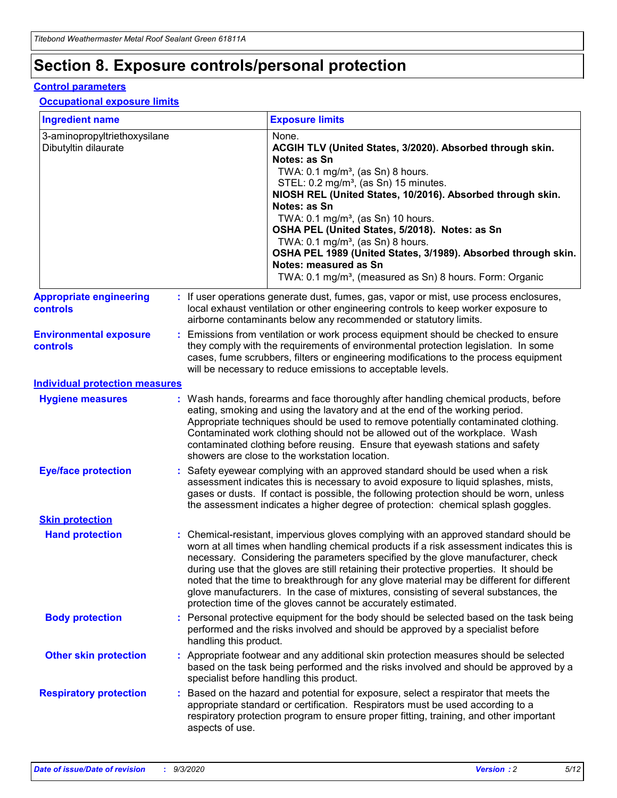# **Section 8. Exposure controls/personal protection**

### **Control parameters**

### **Occupational exposure limits**

| <b>Ingredient name</b>                               |    |                        | <b>Exposure limits</b>                                                                                                                                                                                                                                                                                                                                                                                                                                                                                                                                                                                                 |
|------------------------------------------------------|----|------------------------|------------------------------------------------------------------------------------------------------------------------------------------------------------------------------------------------------------------------------------------------------------------------------------------------------------------------------------------------------------------------------------------------------------------------------------------------------------------------------------------------------------------------------------------------------------------------------------------------------------------------|
| 3-aminopropyltriethoxysilane<br>Dibutyltin dilaurate |    |                        | None.<br>ACGIH TLV (United States, 3/2020). Absorbed through skin.<br>Notes: as Sn<br>TWA: $0.1 \text{ mg/m}^3$ , (as Sn) 8 hours.<br>STEL: 0.2 mg/m <sup>3</sup> , (as Sn) 15 minutes.<br>NIOSH REL (United States, 10/2016). Absorbed through skin.<br>Notes: as Sn<br>TWA: 0.1 mg/m <sup>3</sup> , (as Sn) 10 hours.<br>OSHA PEL (United States, 5/2018). Notes: as Sn<br>TWA: $0.1 \text{ mg/m}^3$ , (as Sn) 8 hours.<br>OSHA PEL 1989 (United States, 3/1989). Absorbed through skin.<br>Notes: measured as Sn<br>TWA: 0.1 mg/m <sup>3</sup> , (measured as Sn) 8 hours. Form: Organic                            |
| <b>Appropriate engineering</b><br>controls           |    |                        | : If user operations generate dust, fumes, gas, vapor or mist, use process enclosures,<br>local exhaust ventilation or other engineering controls to keep worker exposure to<br>airborne contaminants below any recommended or statutory limits.                                                                                                                                                                                                                                                                                                                                                                       |
| <b>Environmental exposure</b><br>controls            |    |                        | Emissions from ventilation or work process equipment should be checked to ensure<br>they comply with the requirements of environmental protection legislation. In some<br>cases, fume scrubbers, filters or engineering modifications to the process equipment<br>will be necessary to reduce emissions to acceptable levels.                                                                                                                                                                                                                                                                                          |
| <b>Individual protection measures</b>                |    |                        |                                                                                                                                                                                                                                                                                                                                                                                                                                                                                                                                                                                                                        |
| <b>Hygiene measures</b>                              |    |                        | : Wash hands, forearms and face thoroughly after handling chemical products, before<br>eating, smoking and using the lavatory and at the end of the working period.<br>Appropriate techniques should be used to remove potentially contaminated clothing.<br>Contaminated work clothing should not be allowed out of the workplace. Wash<br>contaminated clothing before reusing. Ensure that eyewash stations and safety<br>showers are close to the workstation location.                                                                                                                                            |
| <b>Eye/face protection</b>                           |    |                        | : Safety eyewear complying with an approved standard should be used when a risk<br>assessment indicates this is necessary to avoid exposure to liquid splashes, mists,<br>gases or dusts. If contact is possible, the following protection should be worn, unless<br>the assessment indicates a higher degree of protection: chemical splash goggles.                                                                                                                                                                                                                                                                  |
| <b>Skin protection</b>                               |    |                        |                                                                                                                                                                                                                                                                                                                                                                                                                                                                                                                                                                                                                        |
| <b>Hand protection</b>                               |    |                        | : Chemical-resistant, impervious gloves complying with an approved standard should be<br>worn at all times when handling chemical products if a risk assessment indicates this is<br>necessary. Considering the parameters specified by the glove manufacturer, check<br>during use that the gloves are still retaining their protective properties. It should be<br>noted that the time to breakthrough for any glove material may be different for different<br>glove manufacturers. In the case of mixtures, consisting of several substances, the<br>protection time of the gloves cannot be accurately estimated. |
| <b>Body protection</b>                               |    | handling this product. | Personal protective equipment for the body should be selected based on the task being<br>performed and the risks involved and should be approved by a specialist before                                                                                                                                                                                                                                                                                                                                                                                                                                                |
| <b>Other skin protection</b>                         |    |                        | : Appropriate footwear and any additional skin protection measures should be selected<br>based on the task being performed and the risks involved and should be approved by a<br>specialist before handling this product.                                                                                                                                                                                                                                                                                                                                                                                              |
| <b>Respiratory protection</b>                        | ÷. | aspects of use.        | Based on the hazard and potential for exposure, select a respirator that meets the<br>appropriate standard or certification. Respirators must be used according to a<br>respiratory protection program to ensure proper fitting, training, and other important                                                                                                                                                                                                                                                                                                                                                         |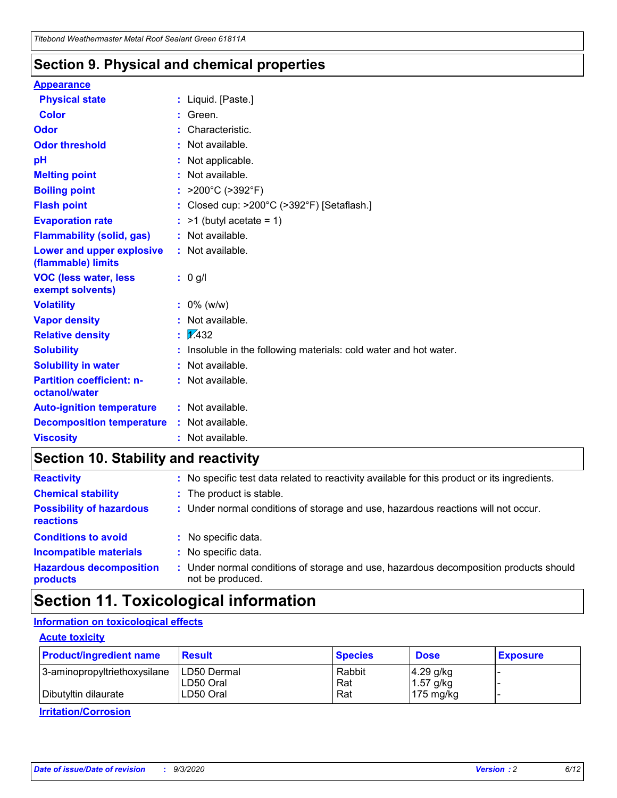## **Section 9. Physical and chemical properties**

### **Appearance**

| <b>Physical state</b>                             |   | : Liquid. [Paste.]                                              |
|---------------------------------------------------|---|-----------------------------------------------------------------|
| <b>Color</b>                                      |   | Green.                                                          |
| Odor                                              |   | Characteristic.                                                 |
| <b>Odor threshold</b>                             | ÷ | Not available.                                                  |
| рH                                                |   | Not applicable.                                                 |
| <b>Melting point</b>                              |   | : Not available.                                                |
| <b>Boiling point</b>                              |   | >200°C (>392°F)                                                 |
| <b>Flash point</b>                                |   | Closed cup: >200°C (>392°F) [Setaflash.]                        |
| <b>Evaporation rate</b>                           |   | $:$ >1 (butyl acetate = 1)                                      |
| <b>Flammability (solid, gas)</b>                  |   | : Not available.                                                |
| Lower and upper explosive<br>(flammable) limits   |   | : Not available.                                                |
| <b>VOC (less water, less)</b><br>exempt solvents) |   | : 0 g/l                                                         |
| <b>Volatility</b>                                 |   | $: 0\%$ (w/w)                                                   |
| <b>Vapor density</b>                              |   | Not available.                                                  |
| <b>Relative density</b>                           |   | $\mathbf{1}$ $\mathbf{\sqrt{432}}$                              |
| <b>Solubility</b>                                 |   | Insoluble in the following materials: cold water and hot water. |
| <b>Solubility in water</b>                        |   | Not available.                                                  |
| <b>Partition coefficient: n-</b><br>octanol/water |   | $:$ Not available.                                              |
| <b>Auto-ignition temperature</b>                  |   | : Not available.                                                |
| <b>Decomposition temperature</b>                  |   | : Not available.                                                |
| <b>Viscosity</b>                                  |   | $:$ Not available.                                              |

# **Section 10. Stability and reactivity**

| <b>Reactivity</b>                            |    | : No specific test data related to reactivity available for this product or its ingredients.            |
|----------------------------------------------|----|---------------------------------------------------------------------------------------------------------|
| <b>Chemical stability</b>                    |    | : The product is stable.                                                                                |
| <b>Possibility of hazardous</b><br>reactions |    | : Under normal conditions of storage and use, hazardous reactions will not occur.                       |
| <b>Conditions to avoid</b>                   |    | : No specific data.                                                                                     |
| <b>Incompatible materials</b>                |    | : No specific data.                                                                                     |
| <b>Hazardous decomposition</b><br>products   | ÷. | Under normal conditions of storage and use, hazardous decomposition products should<br>not be produced. |

# **Section 11. Toxicological information**

### **Information on toxicological effects**

### **Acute toxicity**

| <b>Product/ingredient name</b> | <b>Result</b>           | <b>Species</b> | <b>Dose</b>                | <b>Exposure</b> |
|--------------------------------|-------------------------|----------------|----------------------------|-----------------|
| 3-aminopropyltriethoxysilane   | <b>ILD50 Dermal</b>     | Rabbit         | 4.29 g/kg                  |                 |
| Dibutyltin dilaurate           | ILD50 Oral<br>LD50 Oral | Rat<br>Rat     | $1.57$ g/kg<br>175 $mg/kg$ |                 |
|                                |                         |                |                            |                 |

**Irritation/Corrosion**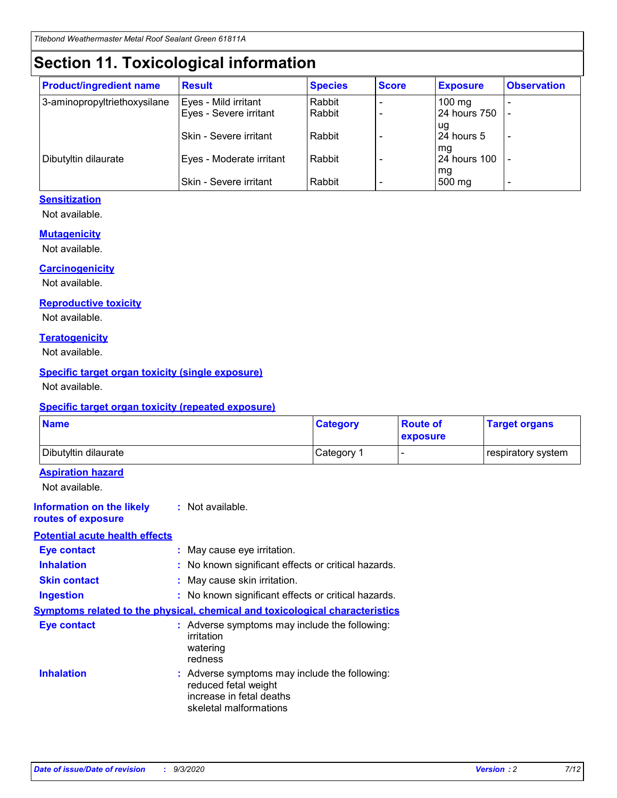# **Section 11. Toxicological information**

| <b>Product/ingredient name</b> | <b>Result</b>            | <b>Species</b> | <b>Score</b> | <b>Exposure</b>    | <b>Observation</b> |
|--------------------------------|--------------------------|----------------|--------------|--------------------|--------------------|
| 3-aminopropyltriethoxysilane   | Eyes - Mild irritant     | Rabbit         |              | $100 \text{ mg}$   |                    |
|                                | Eyes - Severe irritant   | Rabbit         |              | 24 hours 750       |                    |
|                                |                          |                |              | ug                 |                    |
|                                | Skin - Severe irritant   | Rabbit         |              | 24 hours 5         | -                  |
| Dibutyltin dilaurate           | Eyes - Moderate irritant | Rabbit         |              | mg<br>24 hours 100 |                    |
|                                |                          |                |              | mg                 |                    |
|                                | Skin - Severe irritant   | Rabbit         |              | 500 mg             | -                  |

### **Sensitization**

Not available.

### **Mutagenicity**

Not available.

### **Carcinogenicity**

Not available.

### **Reproductive toxicity**

Not available.

### **Teratogenicity**

Not available.

### **Specific target organ toxicity (single exposure)**

Not available.

### **Specific target organ toxicity (repeated exposure)**

| <b>Name</b>                                                                  |                                                                                                                             | <b>Category</b>                                     | <b>Route of</b><br>exposure | <b>Target organs</b> |  |  |
|------------------------------------------------------------------------------|-----------------------------------------------------------------------------------------------------------------------------|-----------------------------------------------------|-----------------------------|----------------------|--|--|
| Dibutyltin dilaurate                                                         |                                                                                                                             | Category 1                                          | $\overline{\phantom{0}}$    | respiratory system   |  |  |
| <b>Aspiration hazard</b><br>Not available.                                   |                                                                                                                             |                                                     |                             |                      |  |  |
| <b>Information on the likely</b><br>routes of exposure                       | : Not available.                                                                                                            |                                                     |                             |                      |  |  |
| <b>Potential acute health effects</b>                                        |                                                                                                                             |                                                     |                             |                      |  |  |
| <b>Eye contact</b>                                                           | : May cause eye irritation.                                                                                                 |                                                     |                             |                      |  |  |
| <b>Inhalation</b>                                                            |                                                                                                                             | : No known significant effects or critical hazards. |                             |                      |  |  |
| <b>Skin contact</b>                                                          |                                                                                                                             | : May cause skin irritation.                        |                             |                      |  |  |
| <b>Ingestion</b>                                                             |                                                                                                                             | : No known significant effects or critical hazards. |                             |                      |  |  |
| Symptoms related to the physical, chemical and toxicological characteristics |                                                                                                                             |                                                     |                             |                      |  |  |
| <b>Eye contact</b>                                                           | : Adverse symptoms may include the following:<br>irritation<br>watering<br>redness                                          |                                                     |                             |                      |  |  |
| <b>Inhalation</b>                                                            | : Adverse symptoms may include the following:<br>reduced fetal weight<br>increase in fetal deaths<br>skeletal malformations |                                                     |                             |                      |  |  |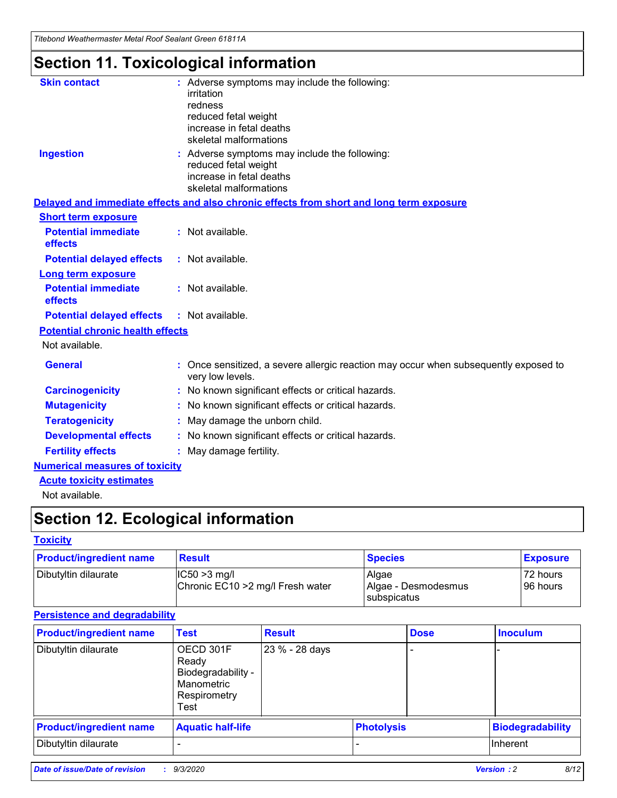*Titebond Weathermaster Metal Roof Sealant Green 61811A*

# **Section 11. Toxicological information**

| <b>Skin contact</b>                     | : Adverse symptoms may include the following:<br>irritation                                            |
|-----------------------------------------|--------------------------------------------------------------------------------------------------------|
|                                         | redness                                                                                                |
|                                         | reduced fetal weight                                                                                   |
|                                         | increase in fetal deaths                                                                               |
|                                         | skeletal malformations                                                                                 |
| <b>Ingestion</b>                        | : Adverse symptoms may include the following:<br>reduced fetal weight                                  |
|                                         | increase in fetal deaths                                                                               |
|                                         | skeletal malformations                                                                                 |
|                                         | Delayed and immediate effects and also chronic effects from short and long term exposure               |
| <b>Short term exposure</b>              |                                                                                                        |
| <b>Potential immediate</b><br>effects   | : Not available.                                                                                       |
| <b>Potential delayed effects</b>        | : Not available.                                                                                       |
| <b>Long term exposure</b>               |                                                                                                        |
| <b>Potential immediate</b><br>effects   | : Not available.                                                                                       |
| <b>Potential delayed effects</b>        | : Not available.                                                                                       |
| <b>Potential chronic health effects</b> |                                                                                                        |
| Not available.                          |                                                                                                        |
| <b>General</b>                          | Once sensitized, a severe allergic reaction may occur when subsequently exposed to<br>very low levels. |
| <b>Carcinogenicity</b>                  | No known significant effects or critical hazards.                                                      |
| <b>Mutagenicity</b>                     | : No known significant effects or critical hazards.                                                    |
| <b>Teratogenicity</b>                   | May damage the unborn child.                                                                           |
| <b>Developmental effects</b>            | : No known significant effects or critical hazards.                                                    |
| <b>Fertility effects</b>                | : May damage fertility.                                                                                |
| <b>Numerical measures of toxicity</b>   |                                                                                                        |
| <b>Acute toxicity estimates</b>         |                                                                                                        |
| Not ovoilable                           |                                                                                                        |

Not available.

# **Section 12. Ecological information**

### **Toxicity**

| <b>Product/ingredient name</b> | <b>Result</b>                                       | <b>Species</b>               | <b>Exposure</b>       |
|--------------------------------|-----------------------------------------------------|------------------------------|-----------------------|
| Dibutyltin dilaurate           | $ CC50>3$ mg/l<br>Chronic EC10 > 2 mg/l Fresh water | Algae<br>Algae - Desmodesmus | 72 hours<br>196 hours |
|                                |                                                     | <b>I</b> subspicatus         |                       |

### **Persistence and degradability**

| <b>Product/ingredient name</b> | <b>Test</b>                                                                    | <b>Result</b>  |                   | <b>Dose</b> | <b>Inoculum</b>         |
|--------------------------------|--------------------------------------------------------------------------------|----------------|-------------------|-------------|-------------------------|
| Dibutyltin dilaurate           | OECD 301F<br>Ready<br>Biodegradability -<br>Manometric<br>Respirometry<br>Test | 23 % - 28 days |                   |             |                         |
| <b>Product/ingredient name</b> | <b>Aquatic half-life</b>                                                       |                | <b>Photolysis</b> |             | <b>Biodegradability</b> |
| Dibutyltin dilaurate           |                                                                                |                |                   |             | <b>Inherent</b>         |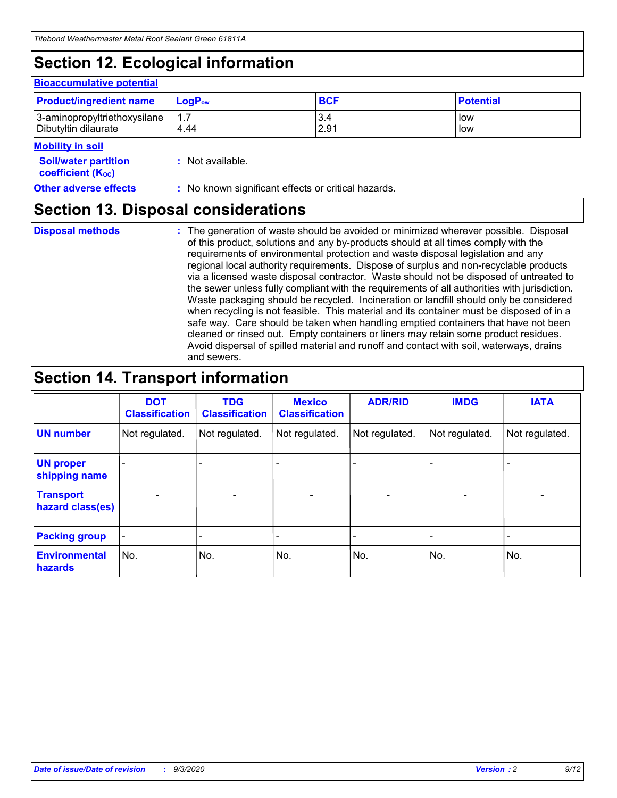# **Section 12. Ecological information**

### **Bioaccumulative potential**

| <b>Product/ingredient name</b> | $LogPow$ | <b>BCF</b> | <b>Potential</b> |
|--------------------------------|----------|------------|------------------|
| 3-aminopropyltriethoxysilane   | 1.7      | 3.4        | low              |
| Dibutyltin dilaurate           | 4.44     | 2.91       | low              |

### **Mobility in soil**

| IVIUWIILV III SUII                                            |                                                     |
|---------------------------------------------------------------|-----------------------------------------------------|
| <b>Soil/water partition</b><br>coefficient (K <sub>oc</sub> ) | : Not available.                                    |
| <b>Other adverse effects</b>                                  | : No known significant effects or critical hazards. |

## **Section 13. Disposal considerations**

**Disposal methods :**

The generation of waste should be avoided or minimized wherever possible. Disposal of this product, solutions and any by-products should at all times comply with the requirements of environmental protection and waste disposal legislation and any regional local authority requirements. Dispose of surplus and non-recyclable products via a licensed waste disposal contractor. Waste should not be disposed of untreated to the sewer unless fully compliant with the requirements of all authorities with jurisdiction. Waste packaging should be recycled. Incineration or landfill should only be considered when recycling is not feasible. This material and its container must be disposed of in a safe way. Care should be taken when handling emptied containers that have not been cleaned or rinsed out. Empty containers or liners may retain some product residues. Avoid dispersal of spilled material and runoff and contact with soil, waterways, drains and sewers.

# **Section 14. Transport information**

|                                      | <b>DOT</b><br><b>Classification</b> | <b>TDG</b><br><b>Classification</b> | <b>Mexico</b><br><b>Classification</b> | <b>ADR/RID</b>           | <b>IMDG</b>              | <b>IATA</b>    |
|--------------------------------------|-------------------------------------|-------------------------------------|----------------------------------------|--------------------------|--------------------------|----------------|
| <b>UN number</b>                     | Not regulated.                      | Not regulated.                      | Not regulated.                         | Not regulated.           | Not regulated.           | Not regulated. |
| <b>UN proper</b><br>shipping name    |                                     |                                     |                                        |                          |                          |                |
| <b>Transport</b><br>hazard class(es) |                                     | $\overline{\phantom{0}}$            | $\qquad \qquad \blacksquare$           | $\overline{\phantom{0}}$ | $\overline{\phantom{0}}$ |                |
| <b>Packing group</b>                 |                                     |                                     |                                        |                          |                          |                |
| <b>Environmental</b><br>hazards      | No.                                 | No.                                 | No.                                    | No.                      | No.                      | No.            |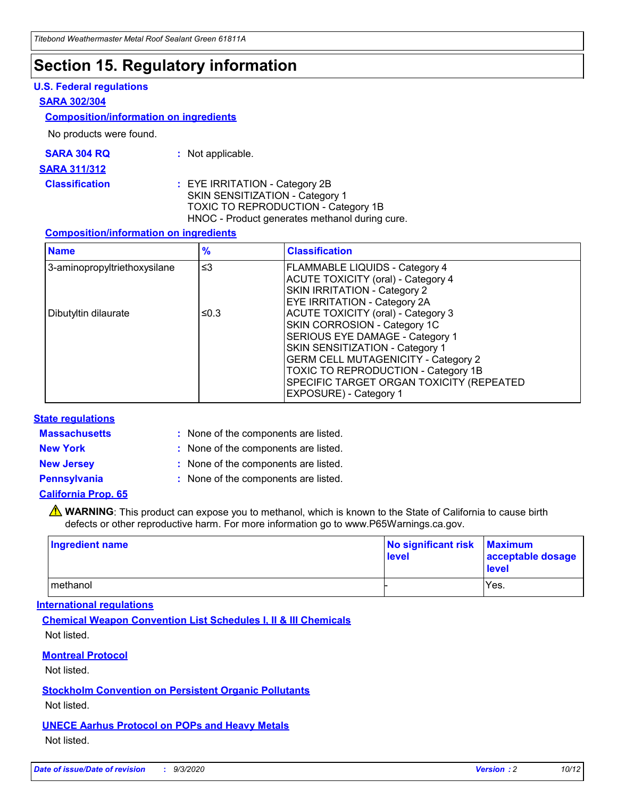# **Section 15. Regulatory information**

### **U.S. Federal regulations**

### **SARA 302/304**

### **Composition/information on ingredients**

No products were found.

| SARA 304 RQ | Not applicable. |
|-------------|-----------------|
|-------------|-----------------|

#### **SARA 311/312**

**Classification :** EYE IRRITATION - Category 2B SKIN SENSITIZATION - Category 1 TOXIC TO REPRODUCTION - Category 1B HNOC - Product generates methanol during cure.

### **Composition/information on ingredients**

| <b>Name</b>                  | $\frac{9}{6}$ | <b>Classification</b>                                                                                                                                                                                                                                                                                      |
|------------------------------|---------------|------------------------------------------------------------------------------------------------------------------------------------------------------------------------------------------------------------------------------------------------------------------------------------------------------------|
| 3-aminopropyltriethoxysilane | $\leq$ 3      | <b>FLAMMABLE LIQUIDS - Category 4</b><br><b>ACUTE TOXICITY (oral) - Category 4</b><br><b>SKIN IRRITATION - Category 2</b><br>EYE IRRITATION - Category 2A                                                                                                                                                  |
| Dibutyltin dilaurate         | ≤0.3          | <b>ACUTE TOXICITY (oral) - Category 3</b><br>SKIN CORROSION - Category 1C<br>SERIOUS EYE DAMAGE - Category 1<br>SKIN SENSITIZATION - Category 1<br><b>GERM CELL MUTAGENICITY - Category 2</b><br>TOXIC TO REPRODUCTION - Category 1B<br>SPECIFIC TARGET ORGAN TOXICITY (REPEATED<br>EXPOSURE) - Category 1 |

### **State regulations**

**Massachusetts :**

: None of the components are listed.

**New York :** None of the components are listed. **New Jersey :** None of the components are listed.

**Pennsylvania :** None of the components are listed.

### **California Prop. 65**

WARNING: This product can expose you to methanol, which is known to the State of California to cause birth defects or other reproductive harm. For more information go to www.P65Warnings.ca.gov.

| Ingredient name | No significant risk Maximum<br>level | acceptable dosage<br><b>level</b> |
|-----------------|--------------------------------------|-----------------------------------|
| I methanol      |                                      | Yes.                              |

### **International regulations**

**Chemical Weapon Convention List Schedules I, II & III Chemicals** Not listed.

**Montreal Protocol**

Not listed.

**Stockholm Convention on Persistent Organic Pollutants**

Not listed.

**UNECE Aarhus Protocol on POPs and Heavy Metals** Not listed.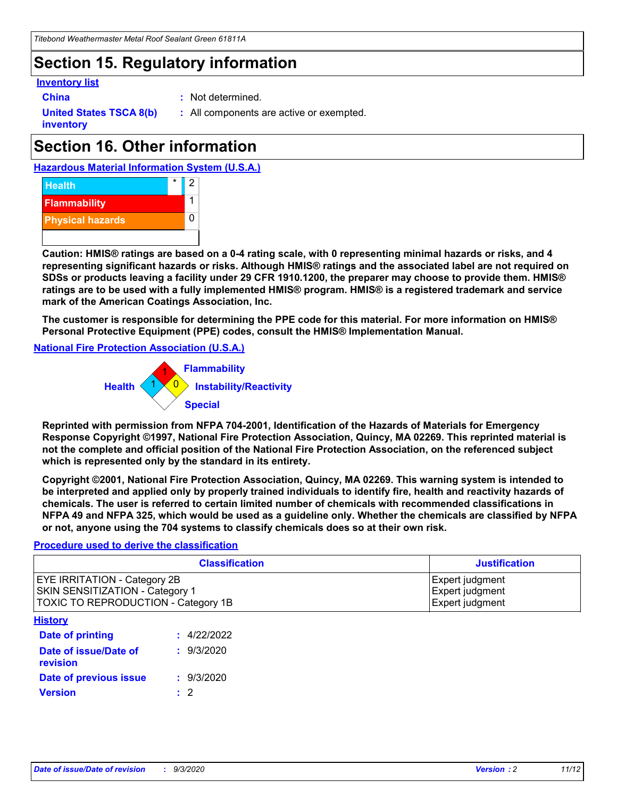# **Section 15. Regulatory information**

### **Inventory list**

- 
- **China :** Not determined.

**United States TSCA 8(b) inventory**

**:** All components are active or exempted.

# **Section 16. Other information**

**Hazardous Material Information System (U.S.A.)**



**Caution: HMIS® ratings are based on a 0-4 rating scale, with 0 representing minimal hazards or risks, and 4 representing significant hazards or risks. Although HMIS® ratings and the associated label are not required on SDSs or products leaving a facility under 29 CFR 1910.1200, the preparer may choose to provide them. HMIS® ratings are to be used with a fully implemented HMIS® program. HMIS® is a registered trademark and service mark of the American Coatings Association, Inc.**

**The customer is responsible for determining the PPE code for this material. For more information on HMIS® Personal Protective Equipment (PPE) codes, consult the HMIS® Implementation Manual.**

**National Fire Protection Association (U.S.A.)**



**Reprinted with permission from NFPA 704-2001, Identification of the Hazards of Materials for Emergency Response Copyright ©1997, National Fire Protection Association, Quincy, MA 02269. This reprinted material is not the complete and official position of the National Fire Protection Association, on the referenced subject which is represented only by the standard in its entirety.**

**Copyright ©2001, National Fire Protection Association, Quincy, MA 02269. This warning system is intended to be interpreted and applied only by properly trained individuals to identify fire, health and reactivity hazards of chemicals. The user is referred to certain limited number of chemicals with recommended classifications in NFPA 49 and NFPA 325, which would be used as a guideline only. Whether the chemicals are classified by NFPA or not, anyone using the 704 systems to classify chemicals does so at their own risk.**

### **Procedure used to derive the classification**

| <b>Classification</b>                                                                                         | <b>Justification</b>                                  |
|---------------------------------------------------------------------------------------------------------------|-------------------------------------------------------|
| <b>EYE IRRITATION - Category 2B</b><br>SKIN SENSITIZATION - Category 1<br>TOXIC TO REPRODUCTION - Category 1B | Expert judgment<br>Expert judgment<br>Expert judgment |
| <b>History</b>                                                                                                |                                                       |

| .                                 |             |
|-----------------------------------|-------------|
| <b>Date of printing</b>           | : 4/22/2022 |
| Date of issue/Date of<br>revision | : 9/3/2020  |
| Date of previous issue            | : 9/3/2020  |
| <b>Version</b>                    | $\cdot$ 2   |
|                                   |             |